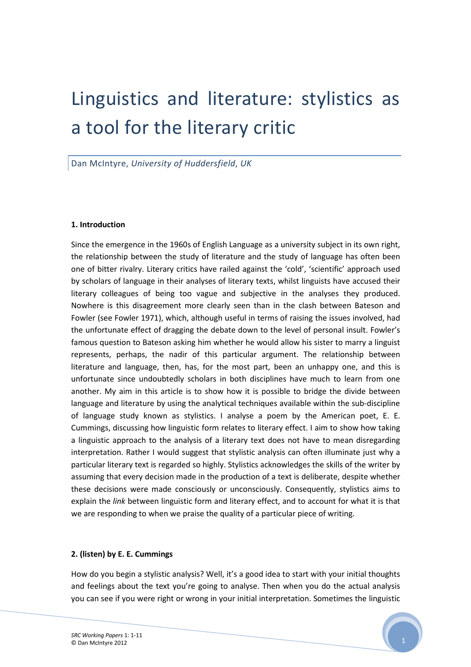# Linguistics and literature: stylistics as a tool for the literary critic

Dan McIntyre, University of Huddersfield, UK

### 1. Introduction

Since the emergence in the 1960s of English Language as a university subject in its own right, the relationship between the study of literature and the study of language has often been one of bitter rivalry. Literary critics have railed against the 'cold', 'scientific' approach used by scholars of language in their analyses of literary texts, whilst linguists have accused their literary colleagues of being too vague and subjective in the analyses they produced. Nowhere is this disagreement more clearly seen than in the clash between Bateson and Fowler (see Fowler 1971), which, although useful in terms of raising the issues involved, had the unfortunate effect of dragging the debate down to the level of personal insult. Fowler's famous question to Bateson asking him whether he would allow his sister to marry a linguist represents, perhaps, the nadir of this particular argument. The relationship between literature and language, then, has, for the most part, been an unhappy one, and this is unfortunate since undoubtedly scholars in both disciplines have much to learn from one another. My aim in this article is to show how it is possible to bridge the divide between language and literature by using the analytical techniques available within the sub-discipline of language study known as stylistics. I analyse a poem by the American poet, E. E. Cummings, discussing how linguistic form relates to literary effect. I aim to show how taking a linguistic approach to the analysis of a literary text does not have to mean disregarding interpretation. Rather I would suggest that stylistic analysis can often illuminate just why a particular literary text is regarded so highly. Stylistics acknowledges the skills of the writer by assuming that every decision made in the production of a text is deliberate, despite whether these decisions were made consciously or unconsciously. Consequently, stylistics aims to explain the link between linguistic form and literary effect, and to account for what it is that we are responding to when we praise the quality of a particular piece of writing.

### 2. (listen) by E. E. Cummings

How do you begin a stylistic analysis? Well, it's a good idea to start with your initial thoughts and feelings about the text you're going to analyse. Then when you do the actual analysis you can see if you were right or wrong in your initial interpretation. Sometimes the linguistic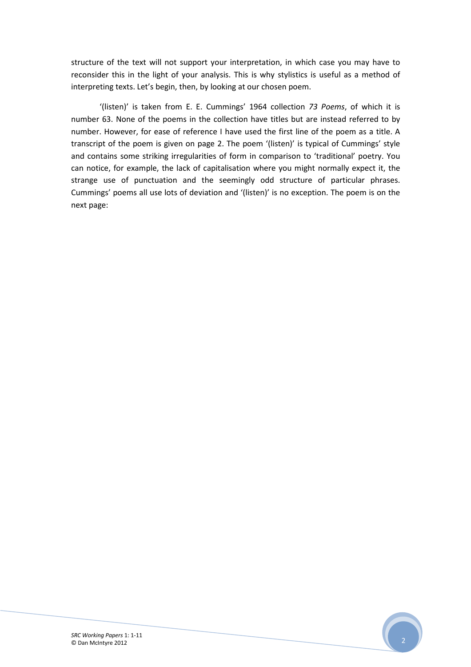structure of the text will not support your interpretation, in which case you may have to reconsider this in the light of your analysis. This is why stylistics is useful as a method of interpreting texts. Let's begin, then, by looking at our chosen poem.

'(listen)' is taken from E. E. Cummings' 1964 collection 73 Poems, of which it is number 63. None of the poems in the collection have titles but are instead referred to by number. However, for ease of reference I have used the first line of the poem as a title. A transcript of the poem is given on page 2. The poem '(listen)' is typical of Cummings' style and contains some striking irregularities of form in comparison to 'traditional' poetry. You can notice, for example, the lack of capitalisation where you might normally expect it, the strange use of punctuation and the seemingly odd structure of particular phrases. Cummings' poems all use lots of deviation and '(listen)' is no exception. The poem is on the next page: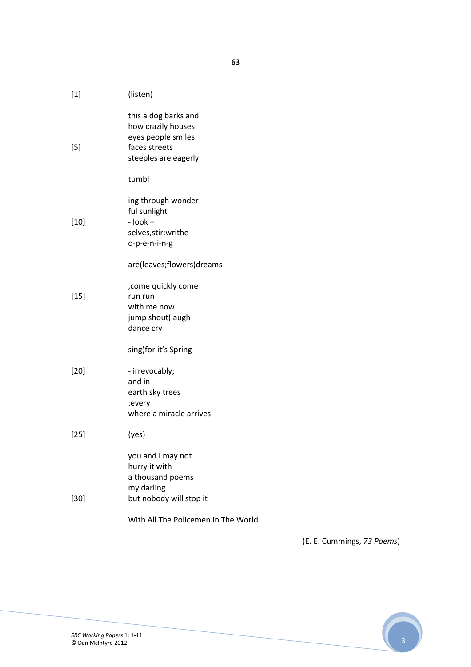| $[1] % \includegraphics[width=0.9\columnwidth]{figures/fig_1a} \caption{The figure shows the number of times, and the number of times, and the number of times, and the number of times, are indicated with the number of times, and the number of times, are indicated with the number of times.} \label{fig:2}$ | (listen)                                                                                                  |
|-------------------------------------------------------------------------------------------------------------------------------------------------------------------------------------------------------------------------------------------------------------------------------------------------------------------|-----------------------------------------------------------------------------------------------------------|
| $[5]$                                                                                                                                                                                                                                                                                                             | this a dog barks and<br>how crazily houses<br>eyes people smiles<br>faces streets<br>steeples are eagerly |
|                                                                                                                                                                                                                                                                                                                   | tumbl                                                                                                     |
| $[10]$                                                                                                                                                                                                                                                                                                            | ing through wonder<br>ful sunlight<br>$-$ look $-$<br>selves, stir: writhe<br>o-p-e-n-i-n-g               |
|                                                                                                                                                                                                                                                                                                                   | are(leaves;flowers)dreams                                                                                 |
| $[15]$                                                                                                                                                                                                                                                                                                            | , come quickly come<br>run run<br>with me now<br>jump shout(laugh<br>dance cry                            |
|                                                                                                                                                                                                                                                                                                                   | sing)for it's Spring                                                                                      |
| $[20]$                                                                                                                                                                                                                                                                                                            | - irrevocably;<br>and in<br>earth sky trees<br>:every<br>where a miracle arrives                          |
| $[25]$                                                                                                                                                                                                                                                                                                            | (yes)                                                                                                     |
| $[30]$                                                                                                                                                                                                                                                                                                            | you and I may not<br>hurry it with<br>a thousand poems<br>my darling<br>but nobody will stop it           |
|                                                                                                                                                                                                                                                                                                                   | With All The Policemen In The World                                                                       |

(E. E. Cummings, 73 Poems)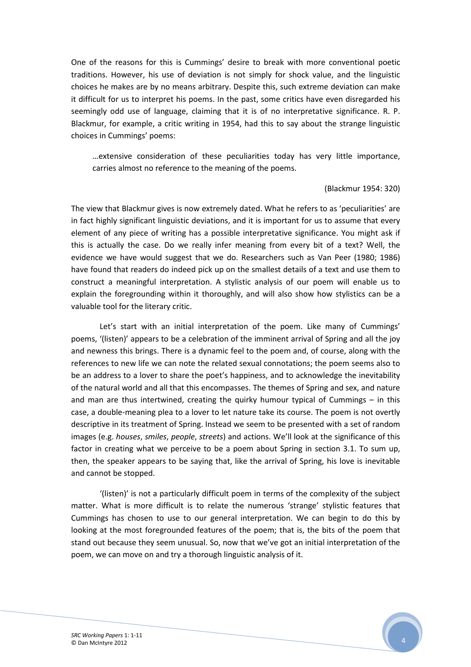One of the reasons for this is Cummings' desire to break with more conventional poetic traditions. However, his use of deviation is not simply for shock value, and the linguistic choices he makes are by no means arbitrary. Despite this, such extreme deviation can make it difficult for us to interpret his poems. In the past, some critics have even disregarded his seemingly odd use of language, claiming that it is of no interpretative significance. R. P. Blackmur, for example, a critic writing in 1954, had this to say about the strange linguistic choices in Cummings' poems:

…extensive consideration of these peculiarities today has very little importance, carries almost no reference to the meaning of the poems.

#### (Blackmur 1954: 320)

The view that Blackmur gives is now extremely dated. What he refers to as 'peculiarities' are in fact highly significant linguistic deviations, and it is important for us to assume that every element of any piece of writing has a possible interpretative significance. You might ask if this is actually the case. Do we really infer meaning from every bit of a text? Well, the evidence we have would suggest that we do. Researchers such as Van Peer (1980; 1986) have found that readers do indeed pick up on the smallest details of a text and use them to construct a meaningful interpretation. A stylistic analysis of our poem will enable us to explain the foregrounding within it thoroughly, and will also show how stylistics can be a valuable tool for the literary critic.

Let's start with an initial interpretation of the poem. Like many of Cummings' poems, '(listen)' appears to be a celebration of the imminent arrival of Spring and all the joy and newness this brings. There is a dynamic feel to the poem and, of course, along with the references to new life we can note the related sexual connotations; the poem seems also to be an address to a lover to share the poet's happiness, and to acknowledge the inevitability of the natural world and all that this encompasses. The themes of Spring and sex, and nature and man are thus intertwined, creating the quirky humour typical of Cummings  $-$  in this case, a double-meaning plea to a lover to let nature take its course. The poem is not overtly descriptive in its treatment of Spring. Instead we seem to be presented with a set of random images (e.g. houses, smiles, people, streets) and actions. We'll look at the significance of this factor in creating what we perceive to be a poem about Spring in section 3.1. To sum up, then, the speaker appears to be saying that, like the arrival of Spring, his love is inevitable and cannot be stopped.

'(listen)' is not a particularly difficult poem in terms of the complexity of the subject matter. What is more difficult is to relate the numerous 'strange' stylistic features that Cummings has chosen to use to our general interpretation. We can begin to do this by looking at the most foregrounded features of the poem; that is, the bits of the poem that stand out because they seem unusual. So, now that we've got an initial interpretation of the poem, we can move on and try a thorough linguistic analysis of it.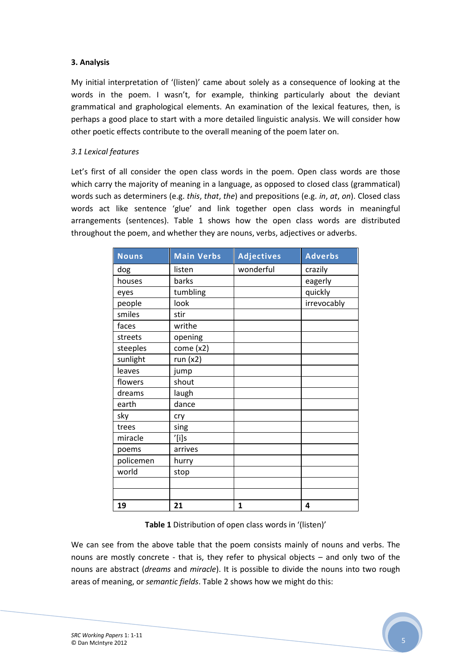# 3. Analysis

My initial interpretation of '(listen)' came about solely as a consequence of looking at the words in the poem. I wasn't, for example, thinking particularly about the deviant grammatical and graphological elements. An examination of the lexical features, then, is perhaps a good place to start with a more detailed linguistic analysis. We will consider how other poetic effects contribute to the overall meaning of the poem later on.

## 3.1 Lexical features

Let's first of all consider the open class words in the poem. Open class words are those which carry the majority of meaning in a language, as opposed to closed class (grammatical) words such as determiners (e.g. this, that, the) and prepositions (e.g. in, at, on). Closed class words act like sentence 'glue' and link together open class words in meaningful arrangements (sentences). Table 1 shows how the open class words are distributed throughout the poem, and whether they are nouns, verbs, adjectives or adverbs.

| <b>Nouns</b> | <b>Main Verbs</b> | Adjectives | <b>Adverbs</b> |
|--------------|-------------------|------------|----------------|
| dog          | listen            | wonderful  | crazily        |
| houses       | barks             |            | eagerly        |
| eyes         | tumbling          |            | quickly        |
| people       | look              |            | irrevocably    |
| smiles       | stir              |            |                |
| faces        | writhe            |            |                |
| streets      | opening           |            |                |
| steeples     | come $(x2)$       |            |                |
| sunlight     | run(x2)           |            |                |
| leaves       | jump              |            |                |
| flowers      | shout             |            |                |
| dreams       | laugh             |            |                |
| earth        | dance             |            |                |
| sky          | cry               |            |                |
| trees        | sing              |            |                |
| miracle      | $^{\prime}$ [i]s  |            |                |
| poems        | arrives           |            |                |
| policemen    | hurry             |            |                |
| world        | stop              |            |                |
|              |                   |            |                |
|              |                   |            |                |
| 19           | 21                | 1          | 4              |

Table 1 Distribution of open class words in '(listen)'

We can see from the above table that the poem consists mainly of nouns and verbs. The nouns are mostly concrete - that is, they refer to physical objects – and only two of the nouns are abstract (dreams and miracle). It is possible to divide the nouns into two rough areas of meaning, or semantic fields. Table 2 shows how we might do this: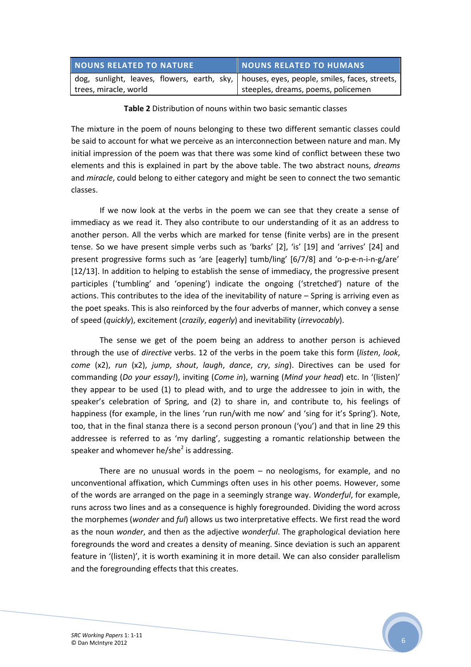| NOUNS RELATED TO NATURE                                                                     | NOUNS RELATED TO HUMANS            |
|---------------------------------------------------------------------------------------------|------------------------------------|
| dog, sunlight, leaves, flowers, earth, sky,   houses, eyes, people, smiles, faces, streets, |                                    |
| trees, miracle, world                                                                       | steeples, dreams, poems, policemen |

### Table 2 Distribution of nouns within two basic semantic classes

The mixture in the poem of nouns belonging to these two different semantic classes could be said to account for what we perceive as an interconnection between nature and man. My initial impression of the poem was that there was some kind of conflict between these two elements and this is explained in part by the above table. The two abstract nouns, dreams and *miracle*, could belong to either category and might be seen to connect the two semantic classes.

If we now look at the verbs in the poem we can see that they create a sense of immediacy as we read it. They also contribute to our understanding of it as an address to another person. All the verbs which are marked for tense (finite verbs) are in the present tense. So we have present simple verbs such as 'barks' [2], 'is' [19] and 'arrives' [24] and present progressive forms such as 'are [eagerly] tumb/ling' [6/7/8] and 'o-p-e-n-i-n-g/are' [12/13]. In addition to helping to establish the sense of immediacy, the progressive present participles ('tumbling' and 'opening') indicate the ongoing ('stretched') nature of the actions. This contributes to the idea of the inevitability of nature – Spring is arriving even as the poet speaks. This is also reinforced by the four adverbs of manner, which convey a sense of speed (quickly), excitement (crazily, eagerly) and inevitability (irrevocably).

The sense we get of the poem being an address to another person is achieved through the use of directive verbs. 12 of the verbs in the poem take this form (listen, look, come  $(x2)$ , run  $(x2)$ , jump, shout, laugh, dance, cry, sing). Directives can be used for commanding (Do your essay!), inviting (Come in), warning (Mind your head) etc. In '(listen)' they appear to be used (1) to plead with, and to urge the addressee to join in with, the speaker's celebration of Spring, and (2) to share in, and contribute to, his feelings of happiness (for example, in the lines 'run run/with me now' and 'sing for it's Spring'). Note, too, that in the final stanza there is a second person pronoun ('you') and that in line 29 this addressee is referred to as 'my darling', suggesting a romantic relationship between the speaker and whomever he/she<sup>2</sup> is addressing.

There are no unusual words in the poem – no neologisms, for example, and no unconventional affixation, which Cummings often uses in his other poems. However, some of the words are arranged on the page in a seemingly strange way. Wonderful, for example, runs across two lines and as a consequence is highly foregrounded. Dividing the word across the morphemes (wonder and ful) allows us two interpretative effects. We first read the word as the noun wonder, and then as the adjective wonderful. The graphological deviation here foregrounds the word and creates a density of meaning. Since deviation is such an apparent feature in '(listen)', it is worth examining it in more detail. We can also consider parallelism and the foregrounding effects that this creates.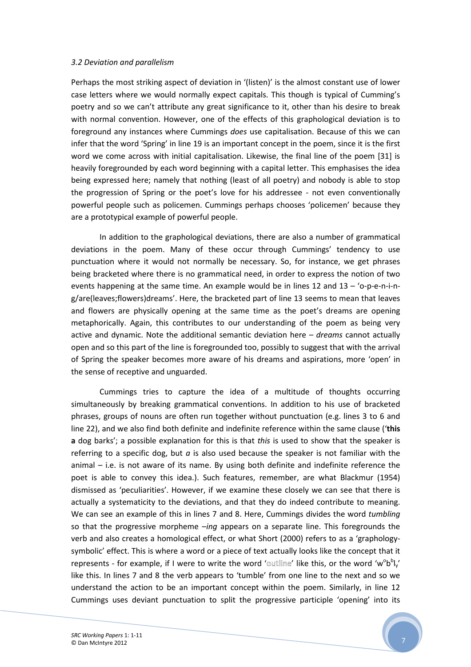#### 3.2 Deviation and parallelism

Perhaps the most striking aspect of deviation in '(listen)' is the almost constant use of lower case letters where we would normally expect capitals. This though is typical of Cumming's poetry and so we can't attribute any great significance to it, other than his desire to break with normal convention. However, one of the effects of this graphological deviation is to foreground any instances where Cummings does use capitalisation. Because of this we can infer that the word 'Spring' in line 19 is an important concept in the poem, since it is the first word we come across with initial capitalisation. Likewise, the final line of the poem [31] is heavily foregrounded by each word beginning with a capital letter. This emphasises the idea being expressed here; namely that nothing (least of all poetry) and nobody is able to stop the progression of Spring or the poet's love for his addressee - not even conventionally powerful people such as policemen. Cummings perhaps chooses 'policemen' because they are a prototypical example of powerful people.

In addition to the graphological deviations, there are also a number of grammatical deviations in the poem. Many of these occur through Cummings' tendency to use punctuation where it would not normally be necessary. So, for instance, we get phrases being bracketed where there is no grammatical need, in order to express the notion of two events happening at the same time. An example would be in lines 12 and 13 – 'o-p-e-n-i-ng/are(leaves;flowers)dreams'. Here, the bracketed part of line 13 seems to mean that leaves and flowers are physically opening at the same time as the poet's dreams are opening metaphorically. Again, this contributes to our understanding of the poem as being very active and dynamic. Note the additional semantic deviation here  $-$  dreams cannot actually open and so this part of the line is foregrounded too, possibly to suggest that with the arrival of Spring the speaker becomes more aware of his dreams and aspirations, more 'open' in the sense of receptive and unguarded.

Cummings tries to capture the idea of a multitude of thoughts occurring simultaneously by breaking grammatical conventions. In addition to his use of bracketed phrases, groups of nouns are often run together without punctuation (e.g. lines 3 to 6 and line 22), and we also find both definite and indefinite reference within the same clause ('this a dog barks'; a possible explanation for this is that this is used to show that the speaker is referring to a specific dog, but  $a$  is also used because the speaker is not familiar with the animal – i.e. is not aware of its name. By using both definite and indefinite reference the poet is able to convey this idea.). Such features, remember, are what Blackmur (1954) dismissed as 'peculiarities'. However, if we examine these closely we can see that there is actually a systematicity to the deviations, and that they do indeed contribute to meaning. We can see an example of this in lines 7 and 8. Here, Cummings divides the word tumbling so that the progressive morpheme  $-ina$  appears on a separate line. This foregrounds the verb and also creates a homological effect, or what Short (2000) refers to as a 'graphologysymbolic' effect. This is where a word or a piece of text actually looks like the concept that it represents - for example, if I were to write the word 'outline' like this, or the word 'w<sup>o</sup>b<sup>b</sup>l<sub>y</sub>' like this. In lines 7 and 8 the verb appears to 'tumble' from one line to the next and so we understand the action to be an important concept within the poem. Similarly, in line 12 Cummings uses deviant punctuation to split the progressive participle 'opening' into its

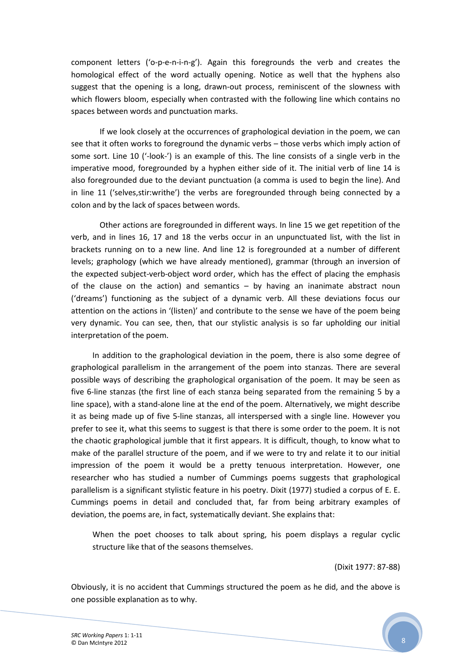component letters ('o-p-e-n-i-n-g'). Again this foregrounds the verb and creates the homological effect of the word actually opening. Notice as well that the hyphens also suggest that the opening is a long, drawn-out process, reminiscent of the slowness with which flowers bloom, especially when contrasted with the following line which contains no spaces between words and punctuation marks.

If we look closely at the occurrences of graphological deviation in the poem, we can see that it often works to foreground the dynamic verbs – those verbs which imply action of some sort. Line 10 ('-look-') is an example of this. The line consists of a single verb in the imperative mood, foregrounded by a hyphen either side of it. The initial verb of line 14 is also foregrounded due to the deviant punctuation (a comma is used to begin the line). And in line 11 ('selves,stir:writhe') the verbs are foregrounded through being connected by a colon and by the lack of spaces between words.

Other actions are foregrounded in different ways. In line 15 we get repetition of the verb, and in lines 16, 17 and 18 the verbs occur in an unpunctuated list, with the list in brackets running on to a new line. And line 12 is foregrounded at a number of different levels; graphology (which we have already mentioned), grammar (through an inversion of the expected subject-verb-object word order, which has the effect of placing the emphasis of the clause on the action) and semantics  $-$  by having an inanimate abstract noun ('dreams') functioning as the subject of a dynamic verb. All these deviations focus our attention on the actions in '(listen)' and contribute to the sense we have of the poem being very dynamic. You can see, then, that our stylistic analysis is so far upholding our initial interpretation of the poem.

In addition to the graphological deviation in the poem, there is also some degree of graphological parallelism in the arrangement of the poem into stanzas. There are several possible ways of describing the graphological organisation of the poem. It may be seen as five 6-line stanzas (the first line of each stanza being separated from the remaining 5 by a line space), with a stand-alone line at the end of the poem. Alternatively, we might describe it as being made up of five 5-line stanzas, all interspersed with a single line. However you prefer to see it, what this seems to suggest is that there is some order to the poem. It is not the chaotic graphological jumble that it first appears. It is difficult, though, to know what to make of the parallel structure of the poem, and if we were to try and relate it to our initial impression of the poem it would be a pretty tenuous interpretation. However, one researcher who has studied a number of Cummings poems suggests that graphological parallelism is a significant stylistic feature in his poetry. Dixit (1977) studied a corpus of E. E. Cummings poems in detail and concluded that, far from being arbitrary examples of deviation, the poems are, in fact, systematically deviant. She explains that:

When the poet chooses to talk about spring, his poem displays a regular cyclic structure like that of the seasons themselves.

(Dixit 1977: 87-88)

Obviously, it is no accident that Cummings structured the poem as he did, and the above is one possible explanation as to why.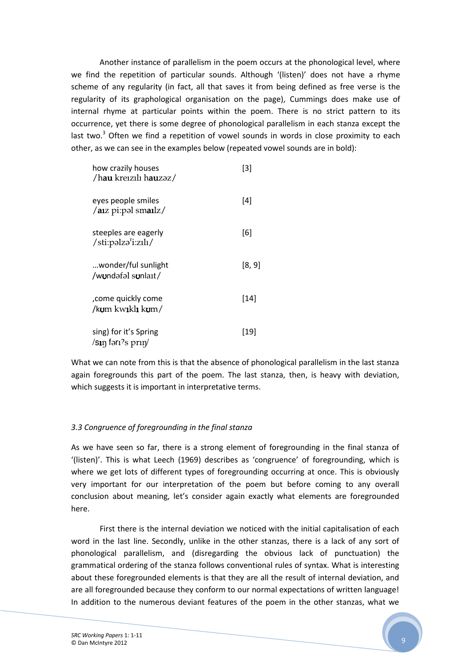Another instance of parallelism in the poem occurs at the phonological level, where we find the repetition of particular sounds. Although '(listen)' does not have a rhyme scheme of any regularity (in fact, all that saves it from being defined as free verse is the regularity of its graphological organisation on the page), Cummings does make use of internal rhyme at particular points within the poem. There is no strict pattern to its occurrence, yet there is some degree of phonological parallelism in each stanza except the last two. $3$  Often we find a repetition of vowel sounds in words in close proximity to each other, as we can see in the examples below (repeated vowel sounds are in bold):

| how crazily houses<br>/hau kreizili hauzəz/             | $[3]$  |
|---------------------------------------------------------|--------|
| eyes people smiles<br>/aiz pi:pəl smailz/               | [4]    |
| steeples are eagerly<br>/sti:pəlzə <sup>r</sup> i:zılı/ | [6]    |
| wonder/ful sunlight<br>/wundafal sunlait/               | [8, 9] |
| come quickly come,<br>/kum kw <b>i</b> kl <b>i</b> kum/ | [14]   |
| sing) for it's Spring<br>/ $\sin$ fərı?s prı $\eta'$    | [19]   |

What we can note from this is that the absence of phonological parallelism in the last stanza again foregrounds this part of the poem. The last stanza, then, is heavy with deviation, which suggests it is important in interpretative terms.

### 3.3 Congruence of foregrounding in the final stanza

As we have seen so far, there is a strong element of foregrounding in the final stanza of '(listen)'. This is what Leech (1969) describes as 'congruence' of foregrounding, which is where we get lots of different types of foregrounding occurring at once. This is obviously very important for our interpretation of the poem but before coming to any overall conclusion about meaning, let's consider again exactly what elements are foregrounded here.

First there is the internal deviation we noticed with the initial capitalisation of each word in the last line. Secondly, unlike in the other stanzas, there is a lack of any sort of phonological parallelism, and (disregarding the obvious lack of punctuation) the grammatical ordering of the stanza follows conventional rules of syntax. What is interesting about these foregrounded elements is that they are all the result of internal deviation, and are all foregrounded because they conform to our normal expectations of written language! In addition to the numerous deviant features of the poem in the other stanzas, what we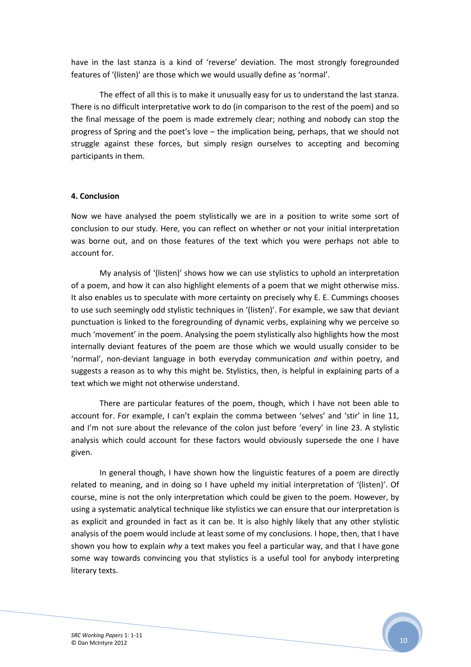have in the last stanza is a kind of 'reverse' deviation. The most strongly foregrounded features of '(listen)' are those which we would usually define as 'normal'.

The effect of all this is to make it unusually easy for us to understand the last stanza. There is no difficult interpretative work to do (in comparison to the rest of the poem) and so the final message of the poem is made extremely clear; nothing and nobody can stop the progress of Spring and the poet's love – the implication being, perhaps, that we should not struggle against these forces, but simply resign ourselves to accepting and becoming participants in them.

### 4. Conclusion

Now we have analysed the poem stylistically we are in a position to write some sort of conclusion to our study. Here, you can reflect on whether or not your initial interpretation was borne out, and on those features of the text which you were perhaps not able to account for.

My analysis of '(listen)' shows how we can use stylistics to uphold an interpretation of a poem, and how it can also highlight elements of a poem that we might otherwise miss. It also enables us to speculate with more certainty on precisely why E. E. Cummings chooses to use such seemingly odd stylistic techniques in '(listen)'. For example, we saw that deviant punctuation is linked to the foregrounding of dynamic verbs, explaining why we perceive so much 'movement' in the poem. Analysing the poem stylistically also highlights how the most internally deviant features of the poem are those which we would usually consider to be 'normal', non-deviant language in both everyday communication and within poetry, and suggests a reason as to why this might be. Stylistics, then, is helpful in explaining parts of a text which we might not otherwise understand.

There are particular features of the poem, though, which I have not been able to account for. For example, I can't explain the comma between 'selves' and 'stir' in line 11, and I'm not sure about the relevance of the colon just before 'every' in line 23. A stylistic analysis which could account for these factors would obviously supersede the one I have given.

 In general though, I have shown how the linguistic features of a poem are directly related to meaning, and in doing so I have upheld my initial interpretation of '(listen)'. Of course, mine is not the only interpretation which could be given to the poem. However, by using a systematic analytical technique like stylistics we can ensure that our interpretation is as explicit and grounded in fact as it can be. It is also highly likely that any other stylistic analysis of the poem would include at least some of my conclusions. I hope, then, that I have shown you how to explain why a text makes you feel a particular way, and that I have gone some way towards convincing you that stylistics is a useful tool for anybody interpreting literary texts.